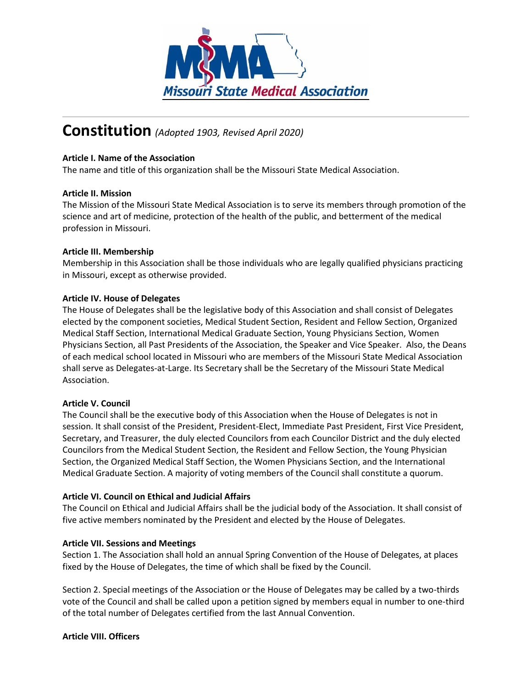

# **Constitution** *(Adopted 1903, Revised April 2020)*

## **Article I. Name of the Association**

The name and title of this organization shall be the Missouri State Medical Association.

#### **Article II. Mission**

The Mission of the Missouri State Medical Association is to serve its members through promotion of the science and art of medicine, protection of the health of the public, and betterment of the medical profession in Missouri.

## **Article III. Membership**

Membership in this Association shall be those individuals who are legally qualified physicians practicing in Missouri, except as otherwise provided.

## **Article IV. House of Delegates**

The House of Delegates shall be the legislative body of this Association and shall consist of Delegates elected by the component societies, Medical Student Section, Resident and Fellow Section, Organized Medical Staff Section, International Medical Graduate Section, Young Physicians Section, Women Physicians Section, all Past Presidents of the Association, the Speaker and Vice Speaker. Also, the Deans of each medical school located in Missouri who are members of the Missouri State Medical Association shall serve as Delegates-at-Large. Its Secretary shall be the Secretary of the Missouri State Medical Association.

#### **Article V. Council**

The Council shall be the executive body of this Association when the House of Delegates is not in session. It shall consist of the President, President-Elect, Immediate Past President, First Vice President, Secretary, and Treasurer, the duly elected Councilors from each Councilor District and the duly elected Councilors from the Medical Student Section, the Resident and Fellow Section, the Young Physician Section, the Organized Medical Staff Section, the Women Physicians Section, and the International Medical Graduate Section. A majority of voting members of the Council shall constitute a quorum.

# **Article VI. Council on Ethical and Judicial Affairs**

The Council on Ethical and Judicial Affairs shall be the judicial body of the Association. It shall consist of five active members nominated by the President and elected by the House of Delegates.

#### **Article VII. Sessions and Meetings**

Section 1. The Association shall hold an annual Spring Convention of the House of Delegates, at places fixed by the House of Delegates, the time of which shall be fixed by the Council.

Section 2. Special meetings of the Association or the House of Delegates may be called by a two-thirds vote of the Council and shall be called upon a petition signed by members equal in number to one-third of the total number of Delegates certified from the last Annual Convention.

#### **Article VIII. Officers**